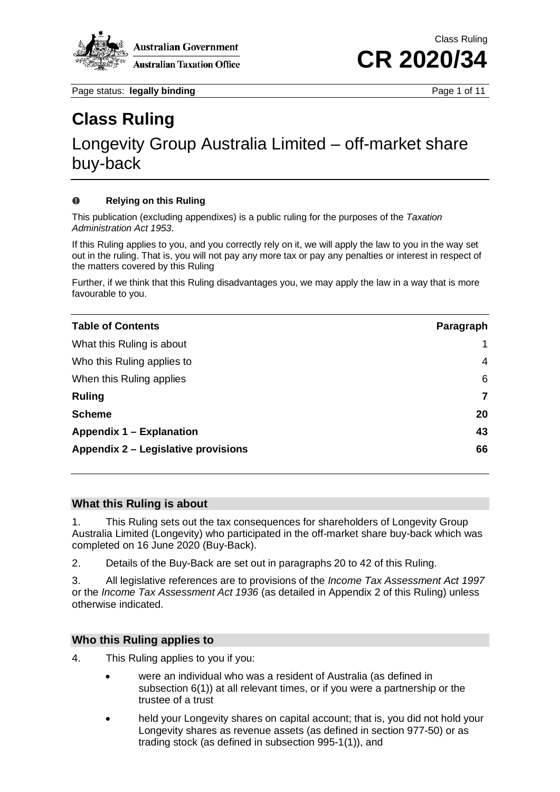

Page status: **legally binding Page 1 of 11** 

## **Class Ruling**

## Longevity Group Australia Limited – off-market share buy-back

#### $\bf{O}$ **Relying on this Ruling**

This publication (excluding appendixes) is a public ruling for the purposes of the *Taxation Administration Act 1953*.

If this Ruling applies to you, and you correctly rely on it, we will apply the law to you in the way set out in the ruling. That is, you will not pay any more tax or pay any penalties or interest in respect of the matters covered by this Ruling

Further, if we think that this Ruling disadvantages you, we may apply the law in a way that is more favourable to you.

| <b>Table of Contents</b>            | Paragraph |
|-------------------------------------|-----------|
| What this Ruling is about           |           |
| Who this Ruling applies to          | 4         |
| When this Ruling applies            | 6         |
| <b>Ruling</b>                       | 7         |
| <b>Scheme</b>                       | 20        |
| Appendix 1 – Explanation            | 43        |
| Appendix 2 – Legislative provisions | 66        |

#### **What this Ruling is about**

1. This Ruling sets out the tax consequences for shareholders of Longevity Group Australia Limited (Longevity) who participated in the off-market share buy-back which was completed on 16 June 2020 (Buy-Back).

2. Details of the Buy-Back are set out in paragraphs 20 to 42 of this Ruling.

3. All legislative references are to provisions of the *Income Tax Assessment Act 1997* or the *Income Tax Assessment Act 1936* (as detailed in Appendix 2 of this Ruling) unless otherwise indicated.

#### **Who this Ruling applies to**

- 4. This Ruling applies to you if you:
	- were an individual who was a resident of Australia (as defined in subsection 6(1)) at all relevant times, or if you were a partnership or the trustee of a trust
	- held your Longevity shares on capital account; that is, you did not hold your Longevity shares as revenue assets (as defined in section 977-50) or as trading stock (as defined in subsection 995-1(1)), and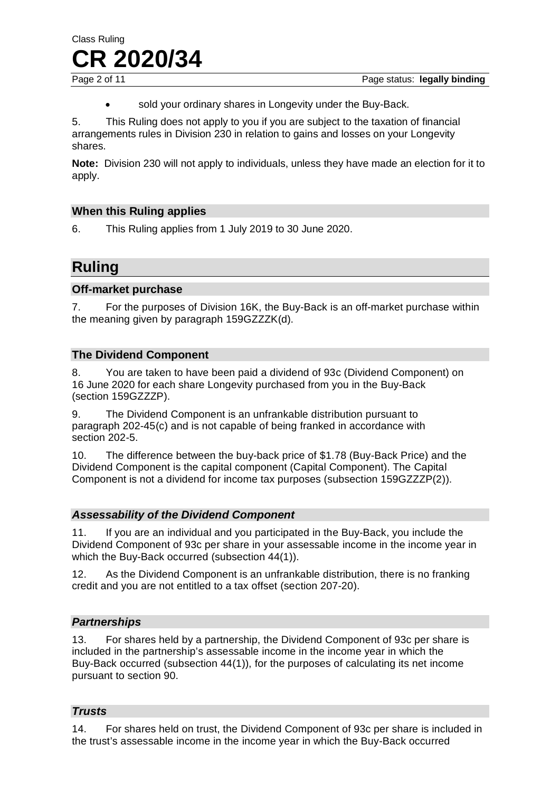sold your ordinary shares in Longevity under the Buy-Back.

5. This Ruling does not apply to you if you are subject to the taxation of financial arrangements rules in Division 230 in relation to gains and losses on your Longevity shares.

**Note:** Division 230 will not apply to individuals, unless they have made an election for it to apply.

### **When this Ruling applies**

6. This Ruling applies from 1 July 2019 to 30 June 2020.

### **Ruling**

#### **Off-market purchase**

7. For the purposes of Division 16K, the Buy-Back is an off-market purchase within the meaning given by paragraph 159GZZZK(d).

#### **The Dividend Component**

8. You are taken to have been paid a dividend of 93c (Dividend Component) on 16 June 2020 for each share Longevity purchased from you in the Buy-Back (section 159GZZZP).

9. The Dividend Component is an unfrankable distribution pursuant to paragraph 202-45(c) and is not capable of being franked in accordance with section 202-5.

10. The difference between the buy-back price of \$1.78 (Buy-Back Price) and the Dividend Component is the capital component (Capital Component). The Capital Component is not a dividend for income tax purposes (subsection 159GZZZP(2)).

#### *Assessability of the Dividend Component*

11. If you are an individual and you participated in the Buy-Back, you include the Dividend Component of 93c per share in your assessable income in the income year in which the Buy-Back occurred (subsection 44(1)).

12. As the Dividend Component is an unfrankable distribution, there is no franking credit and you are not entitled to a tax offset (section 207-20).

#### *Partnerships*

13. For shares held by a partnership, the Dividend Component of 93c per share is included in the partnership's assessable income in the income year in which the Buy-Back occurred (subsection 44(1)), for the purposes of calculating its net income pursuant to section 90.

#### *Trusts*

14. For shares held on trust, the Dividend Component of 93c per share is included in the trust's assessable income in the income year in which the Buy-Back occurred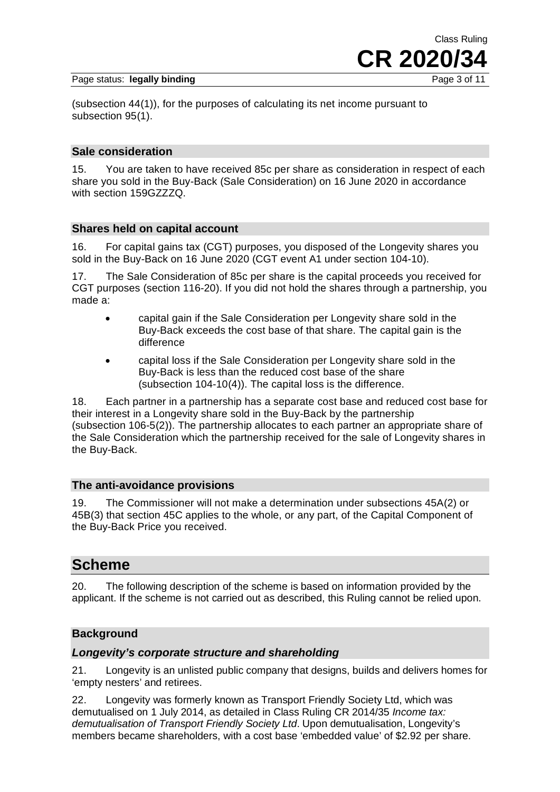#### Page status: legally binding



(subsection 44(1)), for the purposes of calculating its net income pursuant to subsection 95(1).

#### **Sale consideration**

15. You are taken to have received 85c per share as consideration in respect of each share you sold in the Buy-Back (Sale Consideration) on 16 June 2020 in accordance with section 159GZZZQ.

#### **Shares held on capital account**

16. For capital gains tax (CGT) purposes, you disposed of the Longevity shares you sold in the Buy-Back on 16 June 2020 (CGT event A1 under section 104-10).

17. The Sale Consideration of 85c per share is the capital proceeds you received for CGT purposes (section 116-20). If you did not hold the shares through a partnership, you made a:

- capital gain if the Sale Consideration per Longevity share sold in the Buy-Back exceeds the cost base of that share. The capital gain is the difference
- capital loss if the Sale Consideration per Longevity share sold in the Buy-Back is less than the reduced cost base of the share (subsection 104-10(4)). The capital loss is the difference.

18. Each partner in a partnership has a separate cost base and reduced cost base for their interest in a Longevity share sold in the Buy-Back by the partnership (subsection 106-5(2)). The partnership allocates to each partner an appropriate share of the Sale Consideration which the partnership received for the sale of Longevity shares in the Buy-Back.

#### **The anti-avoidance provisions**

19. The Commissioner will not make a determination under subsections 45A(2) or 45B(3) that section 45C applies to the whole, or any part, of the Capital Component of the Buy-Back Price you received.

### **Scheme**

20. The following description of the scheme is based on information provided by the applicant. If the scheme is not carried out as described, this Ruling cannot be relied upon.

#### **Background**

#### *Longevity's corporate structure and shareholding*

21. Longevity is an unlisted public company that designs, builds and delivers homes for 'empty nesters' and retirees.

22. Longevity was formerly known as Transport Friendly Society Ltd, which was demutualised on 1 July 2014, as detailed in Class Ruling CR 2014/35 *Income tax: demutualisation of Transport Friendly Society Ltd*. Upon demutualisation, Longevity's members became shareholders, with a cost base 'embedded value' of \$2.92 per share.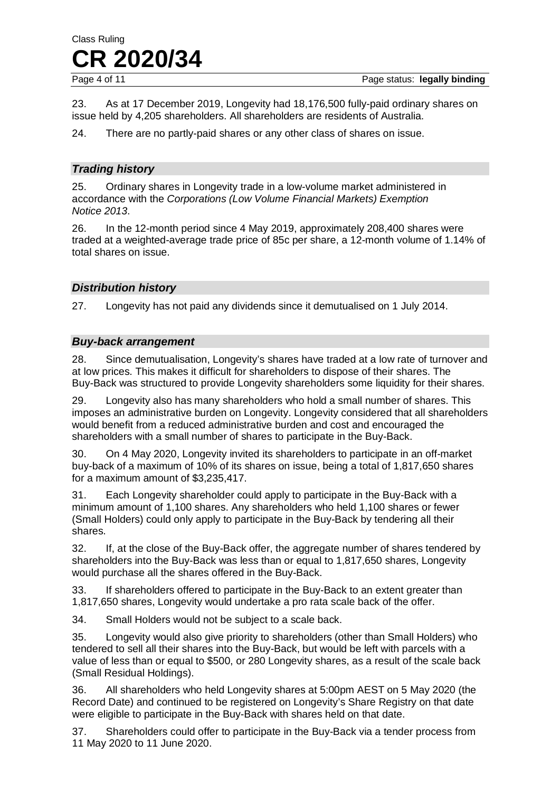23. As at 17 December 2019, Longevity had 18,176,500 fully-paid ordinary shares on issue held by 4,205 shareholders. All shareholders are residents of Australia.

24. There are no partly-paid shares or any other class of shares on issue.

#### *Trading history*

25. Ordinary shares in Longevity trade in a low-volume market administered in accordance with the *Corporations (Low Volume Financial Markets) Exemption Notice 2013*.

26. In the 12-month period since 4 May 2019, approximately 208,400 shares were traded at a weighted-average trade price of 85c per share, a 12-month volume of 1.14% of total shares on issue.

#### *Distribution history*

27. Longevity has not paid any dividends since it demutualised on 1 July 2014.

#### *Buy-back arrangement*

28. Since demutualisation, Longevity's shares have traded at a low rate of turnover and at low prices. This makes it difficult for shareholders to dispose of their shares. The Buy-Back was structured to provide Longevity shareholders some liquidity for their shares.

29. Longevity also has many shareholders who hold a small number of shares. This imposes an administrative burden on Longevity. Longevity considered that all shareholders would benefit from a reduced administrative burden and cost and encouraged the shareholders with a small number of shares to participate in the Buy-Back.

30. On 4 May 2020, Longevity invited its shareholders to participate in an off-market buy-back of a maximum of 10% of its shares on issue, being a total of 1,817,650 shares for a maximum amount of \$3,235,417.

31. Each Longevity shareholder could apply to participate in the Buy-Back with a minimum amount of 1,100 shares. Any shareholders who held 1,100 shares or fewer (Small Holders) could only apply to participate in the Buy-Back by tendering all their shares.

32. If, at the close of the Buy-Back offer, the aggregate number of shares tendered by shareholders into the Buy-Back was less than or equal to 1,817,650 shares, Longevity would purchase all the shares offered in the Buy-Back.

33. If shareholders offered to participate in the Buy-Back to an extent greater than 1,817,650 shares, Longevity would undertake a pro rata scale back of the offer.

34. Small Holders would not be subject to a scale back.

35. Longevity would also give priority to shareholders (other than Small Holders) who tendered to sell all their shares into the Buy-Back, but would be left with parcels with a value of less than or equal to \$500, or 280 Longevity shares, as a result of the scale back (Small Residual Holdings).

36. All shareholders who held Longevity shares at 5:00pm AEST on 5 May 2020 (the Record Date) and continued to be registered on Longevity's Share Registry on that date were eligible to participate in the Buy-Back with shares held on that date.

37. Shareholders could offer to participate in the Buy-Back via a tender process from 11 May 2020 to 11 June 2020.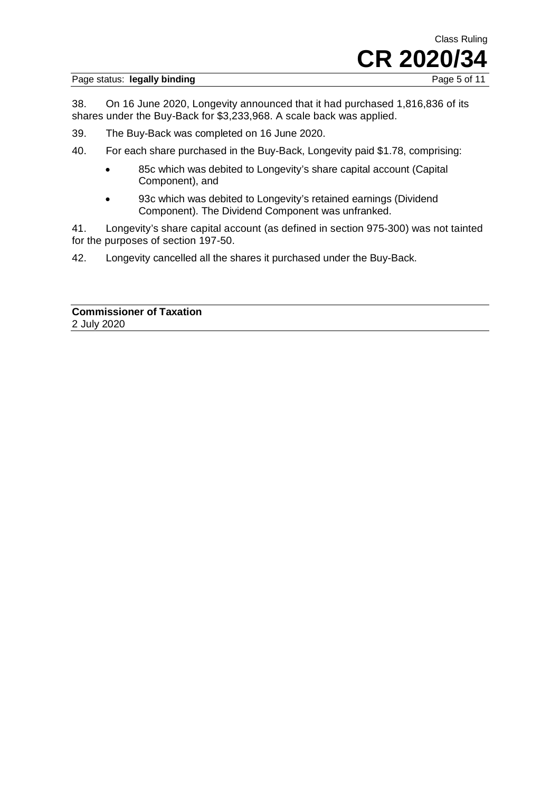#### Page status: legally binding



38. On 16 June 2020, Longevity announced that it had purchased 1,816,836 of its shares under the Buy-Back for \$3,233,968. A scale back was applied.

- 39. The Buy-Back was completed on 16 June 2020.
- 40. For each share purchased in the Buy-Back, Longevity paid \$1.78, comprising:
	- 85c which was debited to Longevity's share capital account (Capital Component), and
	- 93c which was debited to Longevity's retained earnings (Dividend Component). The Dividend Component was unfranked.

41. Longevity's share capital account (as defined in section 975-300) was not tainted for the purposes of section 197-50.

42. Longevity cancelled all the shares it purchased under the Buy-Back.

**Commissioner of Taxation** 2 July 2020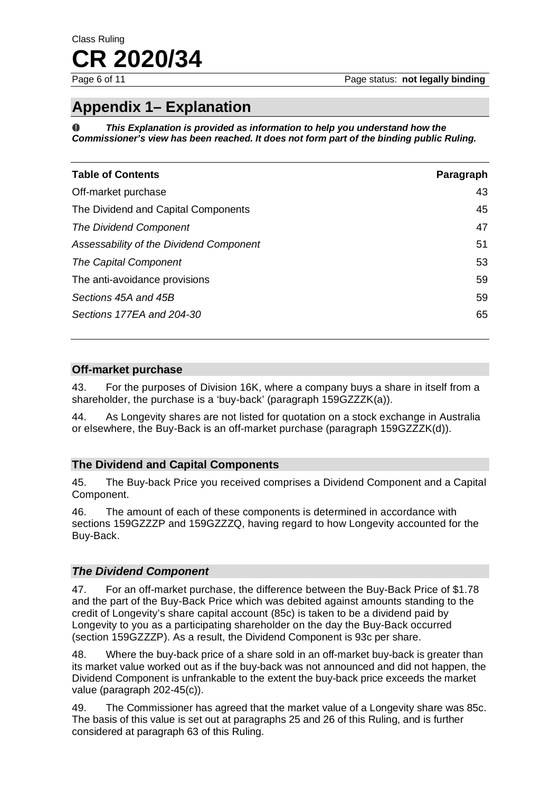Page status: **not legally binding** 

## **Appendix 1– Explanation**

*This Explanation is provided as information to help you understand how the Commissioner's view has been reached. It does not form part of the binding public Ruling.*

| <b>Table of Contents</b>                | Paragraph |
|-----------------------------------------|-----------|
| Off-market purchase                     | 43        |
| The Dividend and Capital Components     | 45        |
| The Dividend Component                  | 47        |
| Assessability of the Dividend Component | 51        |
| The Capital Component                   | 53        |
| The anti-avoidance provisions           | 59        |
| Sections 45A and 45B                    | 59        |
| Sections 177EA and 204-30               | 65        |

#### **Off-market purchase**

43. For the purposes of Division 16K, where a company buys a share in itself from a shareholder, the purchase is a 'buy-back' (paragraph 159GZZZK(a)).

44. As Longevity shares are not listed for quotation on a stock exchange in Australia or elsewhere, the Buy-Back is an off-market purchase (paragraph 159GZZZK(d)).

#### **The Dividend and Capital Components**

45. The Buy-back Price you received comprises a Dividend Component and a Capital Component.

46. The amount of each of these components is determined in accordance with sections 159GZZZP and 159GZZZQ, having regard to how Longevity accounted for the Buy-Back.

#### *The Dividend Component*

47. For an off-market purchase, the difference between the Buy-Back Price of \$1.78 and the part of the Buy-Back Price which was debited against amounts standing to the credit of Longevity's share capital account (85c) is taken to be a dividend paid by Longevity to you as a participating shareholder on the day the Buy-Back occurred (section 159GZZZP). As a result, the Dividend Component is 93c per share.

48. Where the buy-back price of a share sold in an off-market buy-back is greater than its market value worked out as if the buy-back was not announced and did not happen, the Dividend Component is unfrankable to the extent the buy-back price exceeds the market value (paragraph 202-45(c)).

49. The Commissioner has agreed that the market value of a Longevity share was 85c. The basis of this value is set out at paragraphs 25 and 26 of this Ruling, and is further considered at paragraph 63 of this Ruling.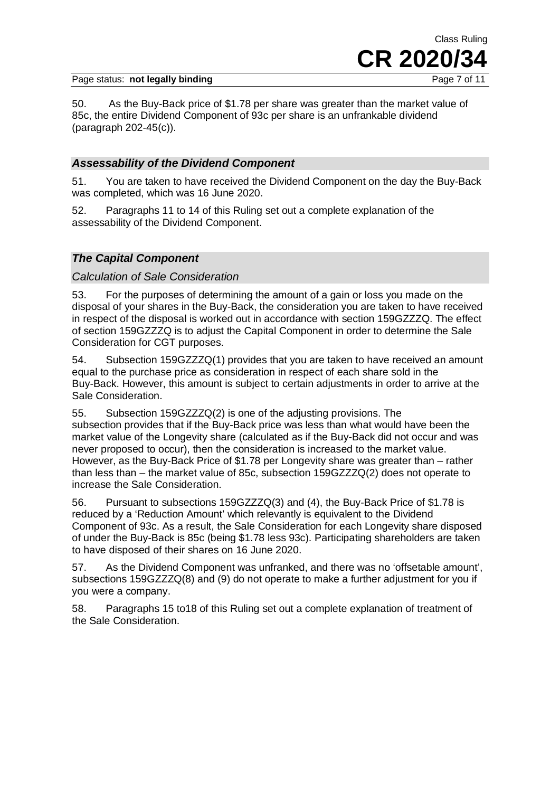Page status: **not legally binding** 

Class Ruling **CR 2020/34**

50. As the Buy-Back price of \$1.78 per share was greater than the market value of 85c, the entire Dividend Component of 93c per share is an unfrankable dividend (paragraph 202-45(c)).

#### *Assessability of the Dividend Component*

51. You are taken to have received the Dividend Component on the day the Buy-Back was completed, which was 16 June 2020.

52. Paragraphs 11 to 14 of this Ruling set out a complete explanation of the assessability of the Dividend Component.

#### *The Capital Component*

#### *Calculation of Sale Consideration*

53. For the purposes of determining the amount of a gain or loss you made on the disposal of your shares in the Buy-Back, the consideration you are taken to have received in respect of the disposal is worked out in accordance with section 159GZZZQ. The effect of section 159GZZZQ is to adjust the Capital Component in order to determine the Sale Consideration for CGT purposes.

54. Subsection 159GZZZQ(1) provides that you are taken to have received an amount equal to the purchase price as consideration in respect of each share sold in the Buy-Back. However, this amount is subject to certain adjustments in order to arrive at the Sale Consideration.

55. Subsection 159GZZZQ(2) is one of the adjusting provisions. The subsection provides that if the Buy-Back price was less than what would have been the market value of the Longevity share (calculated as if the Buy-Back did not occur and was never proposed to occur), then the consideration is increased to the market value. However, as the Buy-Back Price of \$1.78 per Longevity share was greater than – rather than less than – the market value of 85c, subsection 159GZZZQ(2) does not operate to increase the Sale Consideration.

56. Pursuant to subsections 159GZZZQ(3) and (4), the Buy-Back Price of \$1.78 is reduced by a 'Reduction Amount' which relevantly is equivalent to the Dividend Component of 93c. As a result, the Sale Consideration for each Longevity share disposed of under the Buy-Back is 85c (being \$1.78 less 93c). Participating shareholders are taken to have disposed of their shares on 16 June 2020.

57. As the Dividend Component was unfranked, and there was no 'offsetable amount', subsections 159GZZZQ(8) and (9) do not operate to make a further adjustment for you if you were a company.

58. Paragraphs 15 to18 of this Ruling set out a complete explanation of treatment of the Sale Consideration.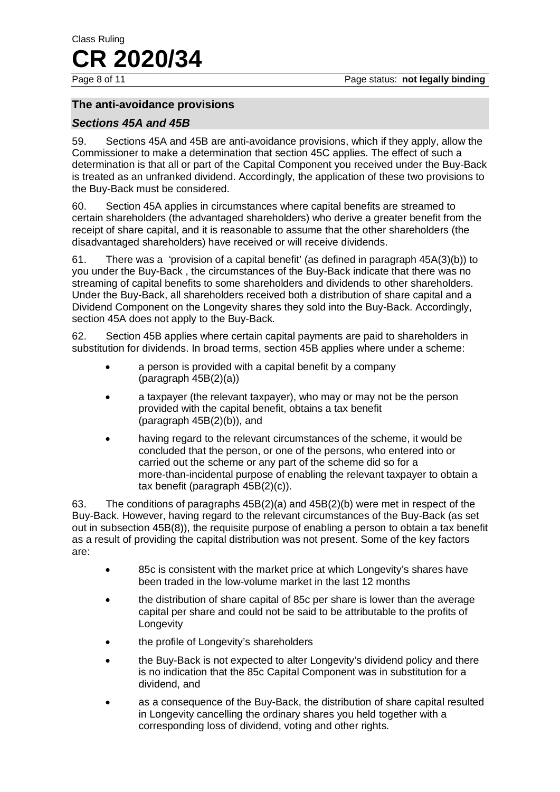#### **The anti-avoidance provisions**

#### *Sections 45A and 45B*

59. Sections 45A and 45B are anti-avoidance provisions, which if they apply, allow the Commissioner to make a determination that section 45C applies. The effect of such a determination is that all or part of the Capital Component you received under the Buy-Back is treated as an unfranked dividend. Accordingly, the application of these two provisions to the Buy-Back must be considered.

60. Section 45A applies in circumstances where capital benefits are streamed to certain shareholders (the advantaged shareholders) who derive a greater benefit from the receipt of share capital, and it is reasonable to assume that the other shareholders (the disadvantaged shareholders) have received or will receive dividends.

61. There was a 'provision of a capital benefit' (as defined in paragraph 45A(3)(b)) to you under the Buy-Back , the circumstances of the Buy-Back indicate that there was no streaming of capital benefits to some shareholders and dividends to other shareholders. Under the Buy-Back, all shareholders received both a distribution of share capital and a Dividend Component on the Longevity shares they sold into the Buy-Back. Accordingly, section 45A does not apply to the Buy-Back.

62. Section 45B applies where certain capital payments are paid to shareholders in substitution for dividends. In broad terms, section 45B applies where under a scheme:

- a person is provided with a capital benefit by a company (paragraph 45B(2)(a))
- a taxpayer (the relevant taxpayer), who may or may not be the person provided with the capital benefit, obtains a tax benefit (paragraph 45B(2)(b)), and
- having regard to the relevant circumstances of the scheme, it would be concluded that the person, or one of the persons, who entered into or carried out the scheme or any part of the scheme did so for a more-than-incidental purpose of enabling the relevant taxpayer to obtain a tax benefit (paragraph 45B(2)(c)).

63. The conditions of paragraphs 45B(2)(a) and 45B(2)(b) were met in respect of the Buy-Back. However, having regard to the relevant circumstances of the Buy-Back (as set out in subsection 45B(8)), the requisite purpose of enabling a person to obtain a tax benefit as a result of providing the capital distribution was not present. Some of the key factors are:

- 85c is consistent with the market price at which Longevity's shares have been traded in the low-volume market in the last 12 months
- the distribution of share capital of 85c per share is lower than the average capital per share and could not be said to be attributable to the profits of Longevity
- the profile of Longevity's shareholders
- the Buy-Back is not expected to alter Longevity's dividend policy and there is no indication that the 85c Capital Component was in substitution for a dividend, and
- as a consequence of the Buy-Back, the distribution of share capital resulted in Longevity cancelling the ordinary shares you held together with a corresponding loss of dividend, voting and other rights.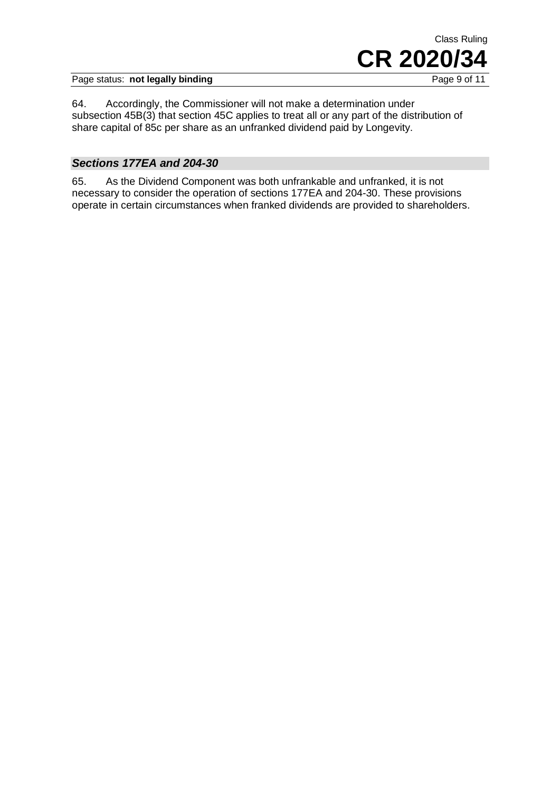

Page status: not legally binding

64. Accordingly, the Commissioner will not make a determination under subsection 45B(3) that section 45C applies to treat all or any part of the distribution of share capital of 85c per share as an unfranked dividend paid by Longevity.

#### *Sections 177EA and 204-30*

65. As the Dividend Component was both unfrankable and unfranked, it is not necessary to consider the operation of sections 177EA and 204-30. These provisions operate in certain circumstances when franked dividends are provided to shareholders.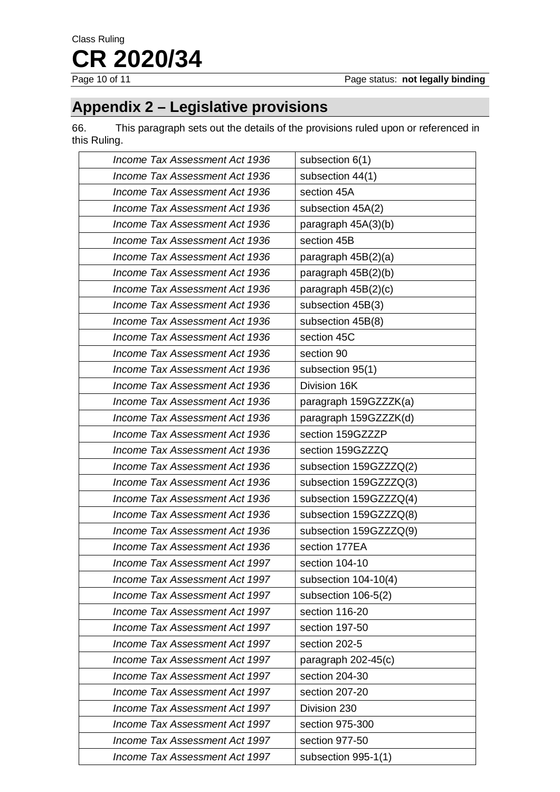## **Appendix 2 – Legislative provisions**

66. This paragraph sets out the details of the provisions ruled upon or referenced in this Ruling.

| Income Tax Assessment Act 1936 | subsection 6(1)        |
|--------------------------------|------------------------|
| Income Tax Assessment Act 1936 | subsection 44(1)       |
| Income Tax Assessment Act 1936 | section 45A            |
| Income Tax Assessment Act 1936 | subsection 45A(2)      |
| Income Tax Assessment Act 1936 | paragraph 45A(3)(b)    |
| Income Tax Assessment Act 1936 | section 45B            |
| Income Tax Assessment Act 1936 | paragraph $45B(2)(a)$  |
| Income Tax Assessment Act 1936 | paragraph 45B(2)(b)    |
| Income Tax Assessment Act 1936 | paragraph $45B(2)(c)$  |
| Income Tax Assessment Act 1936 | subsection 45B(3)      |
| Income Tax Assessment Act 1936 | subsection 45B(8)      |
| Income Tax Assessment Act 1936 | section 45C            |
| Income Tax Assessment Act 1936 | section 90             |
| Income Tax Assessment Act 1936 | subsection 95(1)       |
| Income Tax Assessment Act 1936 | Division 16K           |
| Income Tax Assessment Act 1936 | paragraph 159GZZZK(a)  |
| Income Tax Assessment Act 1936 | paragraph 159GZZZK(d)  |
| Income Tax Assessment Act 1936 | section 159GZZZP       |
| Income Tax Assessment Act 1936 | section 159GZZZQ       |
| Income Tax Assessment Act 1936 | subsection 159GZZZQ(2) |
| Income Tax Assessment Act 1936 | subsection 159GZZZQ(3) |
| Income Tax Assessment Act 1936 | subsection 159GZZZQ(4) |
| Income Tax Assessment Act 1936 | subsection 159GZZZQ(8) |
| Income Tax Assessment Act 1936 | subsection 159GZZZQ(9) |
| Income Tax Assessment Act 1936 | section 177EA          |
| Income Tax Assessment Act 1997 | section 104-10         |
| Income Tax Assessment Act 1997 | subsection 104-10(4)   |
| Income Tax Assessment Act 1997 | subsection 106-5(2)    |
| Income Tax Assessment Act 1997 | section 116-20         |
| Income Tax Assessment Act 1997 | section 197-50         |
| Income Tax Assessment Act 1997 | section 202-5          |
| Income Tax Assessment Act 1997 | paragraph $202-45(c)$  |
| Income Tax Assessment Act 1997 | section 204-30         |
| Income Tax Assessment Act 1997 | section 207-20         |
| Income Tax Assessment Act 1997 | Division 230           |
| Income Tax Assessment Act 1997 | section 975-300        |
| Income Tax Assessment Act 1997 | section 977-50         |
| Income Tax Assessment Act 1997 | subsection 995-1(1)    |